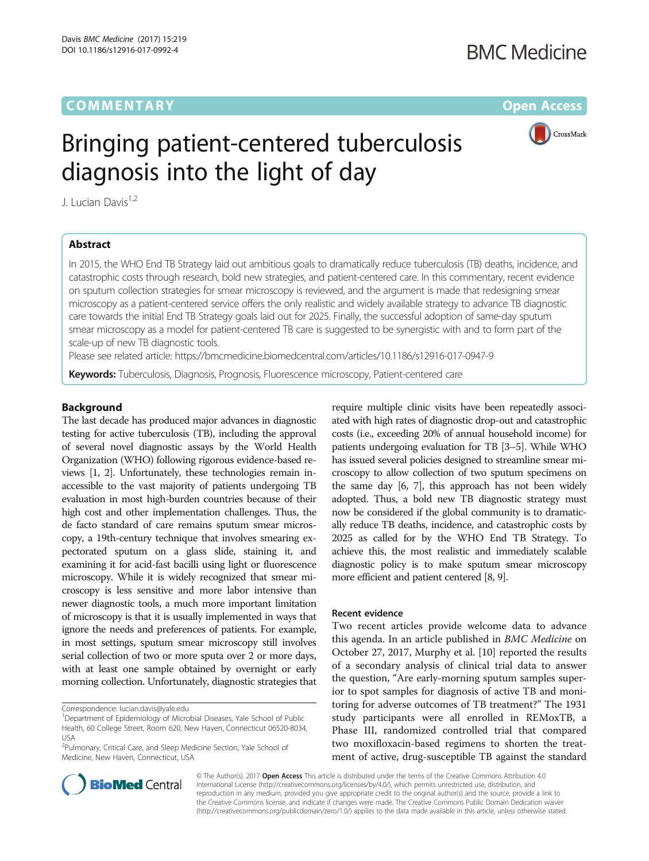# **COMMENTARY** COMMENTARY **COMMENTARY**



# Bringing patient-centered tuberculosis diagnosis into the light of day

J. Lucian Davis<sup>1,2</sup>

# Abstract

In 2015, the WHO End TB Strategy laid out ambitious goals to dramatically reduce tuberculosis (TB) deaths, incidence, and catastrophic costs through research, bold new strategies, and patient-centered care. In this commentary, recent evidence on sputum collection strategies for smear microscopy is reviewed, and the argument is made that redesigning smear microscopy as a patient-centered service offers the only realistic and widely available strategy to advance TB diagnostic care towards the initial End TB Strategy goals laid out for 2025. Finally, the successful adoption of same-day sputum smear microscopy as a model for patient-centered TB care is suggested to be synergistic with and to form part of the scale-up of new TB diagnostic tools.

Please see related article:<https://bmcmedicine.biomedcentral.com/articles/10.1186/s12916-017-0947-9>

Keywords: Tuberculosis, Diagnosis, Prognosis, Fluorescence microscopy, Patient-centered care

# Background

The last decade has produced major advances in diagnostic testing for active tuberculosis (TB), including the approval of several novel diagnostic assays by the World Health Organization (WHO) following rigorous evidence-based reviews [\[1, 2\]](#page-1-0). Unfortunately, these technologies remain inaccessible to the vast majority of patients undergoing TB evaluation in most high-burden countries because of their high cost and other implementation challenges. Thus, the de facto standard of care remains sputum smear microscopy, a 19th-century technique that involves smearing expectorated sputum on a glass slide, staining it, and examining it for acid-fast bacilli using light or fluorescence microscopy. While it is widely recognized that smear microscopy is less sensitive and more labor intensive than newer diagnostic tools, a much more important limitation of microscopy is that it is usually implemented in ways that ignore the needs and preferences of patients. For example, in most settings, sputum smear microscopy still involves serial collection of two or more sputa over 2 or more days, with at least one sample obtained by overnight or early morning collection. Unfortunately, diagnostic strategies that

<sup>2</sup>Pulmonary, Critical Care, and Sleep Medicine Section, Yale School of Medicine, New Haven, Connecticut, USA



# Recent evidence

Two recent articles provide welcome data to advance this agenda. In an article published in BMC Medicine on October 27, 2017, Murphy et al. [\[10](#page-2-0)] reported the results of a secondary analysis of clinical trial data to answer the question, "Are early-morning sputum samples superior to spot samples for diagnosis of active TB and monitoring for adverse outcomes of TB treatment?" The 1931 study participants were all enrolled in REMoxTB, a Phase III, randomized controlled trial that compared two moxifloxacin-based regimens to shorten the treatment of active, drug-susceptible TB against the standard



© The Author(s). 2017 **Open Access** This article is distributed under the terms of the Creative Commons Attribution 4.0 International License [\(http://creativecommons.org/licenses/by/4.0/](http://creativecommons.org/licenses/by/4.0/)), which permits unrestricted use, distribution, and reproduction in any medium, provided you give appropriate credit to the original author(s) and the source, provide a link to the Creative Commons license, and indicate if changes were made. The Creative Commons Public Domain Dedication waiver [\(http://creativecommons.org/publicdomain/zero/1.0/](http://creativecommons.org/publicdomain/zero/1.0/)) applies to the data made available in this article, unless otherwise stated.

Correspondence: [lucian.davis@yale.edu](mailto:lucian.davis@yale.edu) <sup>1</sup>

<sup>&</sup>lt;sup>1</sup>Department of Epidemiology of Microbial Diseases, Yale School of Public Health, 60 College Street, Room 620, New Haven, Connecticut 06520-8034, USA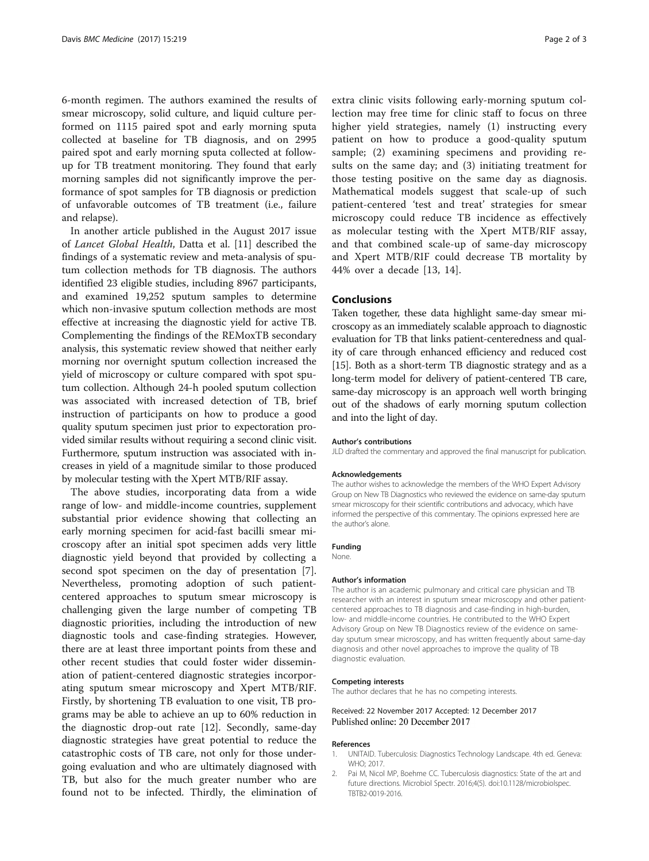<span id="page-1-0"></span>6-month regimen. The authors examined the results of smear microscopy, solid culture, and liquid culture performed on 1115 paired spot and early morning sputa collected at baseline for TB diagnosis, and on 2995 paired spot and early morning sputa collected at followup for TB treatment monitoring. They found that early morning samples did not significantly improve the performance of spot samples for TB diagnosis or prediction of unfavorable outcomes of TB treatment (i.e., failure and relapse).

In another article published in the August 2017 issue of Lancet Global Health, Datta et al. [\[11\]](#page-2-0) described the findings of a systematic review and meta-analysis of sputum collection methods for TB diagnosis. The authors identified 23 eligible studies, including 8967 participants, and examined 19,252 sputum samples to determine which non-invasive sputum collection methods are most effective at increasing the diagnostic yield for active TB. Complementing the findings of the REMoxTB secondary analysis, this systematic review showed that neither early morning nor overnight sputum collection increased the yield of microscopy or culture compared with spot sputum collection. Although 24-h pooled sputum collection was associated with increased detection of TB, brief instruction of participants on how to produce a good quality sputum specimen just prior to expectoration provided similar results without requiring a second clinic visit. Furthermore, sputum instruction was associated with increases in yield of a magnitude similar to those produced by molecular testing with the Xpert MTB/RIF assay.

The above studies, incorporating data from a wide range of low- and middle-income countries, supplement substantial prior evidence showing that collecting an early morning specimen for acid-fast bacilli smear microscopy after an initial spot specimen adds very little diagnostic yield beyond that provided by collecting a second spot specimen on the day of presentation [\[7](#page-2-0)]. Nevertheless, promoting adoption of such patientcentered approaches to sputum smear microscopy is challenging given the large number of competing TB diagnostic priorities, including the introduction of new diagnostic tools and case-finding strategies. However, there are at least three important points from these and other recent studies that could foster wider dissemination of patient-centered diagnostic strategies incorporating sputum smear microscopy and Xpert MTB/RIF. Firstly, by shortening TB evaluation to one visit, TB programs may be able to achieve an up to 60% reduction in the diagnostic drop-out rate [[12](#page-2-0)]. Secondly, same-day diagnostic strategies have great potential to reduce the catastrophic costs of TB care, not only for those undergoing evaluation and who are ultimately diagnosed with TB, but also for the much greater number who are found not to be infected. Thirdly, the elimination of

extra clinic visits following early-morning sputum collection may free time for clinic staff to focus on three higher yield strategies, namely (1) instructing every patient on how to produce a good-quality sputum sample; (2) examining specimens and providing results on the same day; and (3) initiating treatment for those testing positive on the same day as diagnosis. Mathematical models suggest that scale-up of such patient-centered 'test and treat' strategies for smear microscopy could reduce TB incidence as effectively as molecular testing with the Xpert MTB/RIF assay, and that combined scale-up of same-day microscopy and Xpert MTB/RIF could decrease TB mortality by 44% over a decade [[13, 14\]](#page-2-0).

## Conclusions

Taken together, these data highlight same-day smear microscopy as an immediately scalable approach to diagnostic evaluation for TB that links patient-centeredness and quality of care through enhanced efficiency and reduced cost [[15](#page-2-0)]. Both as a short-term TB diagnostic strategy and as a long-term model for delivery of patient-centered TB care, same-day microscopy is an approach well worth bringing out of the shadows of early morning sputum collection and into the light of day.

#### Author's contributions

JLD drafted the commentary and approved the final manuscript for publication.

#### Acknowledgements

The author wishes to acknowledge the members of the WHO Expert Advisory Group on New TB Diagnostics who reviewed the evidence on same-day sputum smear microscopy for their scientific contributions and advocacy, which have informed the perspective of this commentary. The opinions expressed here are the author's alone.

## Funding

None.

#### Author's information

The author is an academic pulmonary and critical care physician and TB researcher with an interest in sputum smear microscopy and other patientcentered approaches to TB diagnosis and case-finding in high-burden, low- and middle-income countries. He contributed to the WHO Expert Advisory Group on New TB Diagnostics review of the evidence on sameday sputum smear microscopy, and has written frequently about same-day diagnosis and other novel approaches to improve the quality of TB diagnostic evaluation.

### Competing interests

The author declares that he has no competing interests.

## Received: 22 November 2017 Accepted: 12 December 2017 Published online: 20 December 2017

#### References

- 1. UNITAID. Tuberculosis: Diagnostics Technology Landscape. 4th ed. Geneva: WHO; 2017.
- 2. Pai M, Nicol MP, Boehme CC. Tuberculosis diagnostics: State of the art and future directions. Microbiol Spectr. 2016;4(5). doi:[10.1128/microbiolspec.](http://dx.doi.org/10.1128/microbiolspec.TBTB2-0019-2016) [TBTB2-0019-2016](http://dx.doi.org/10.1128/microbiolspec.TBTB2-0019-2016).